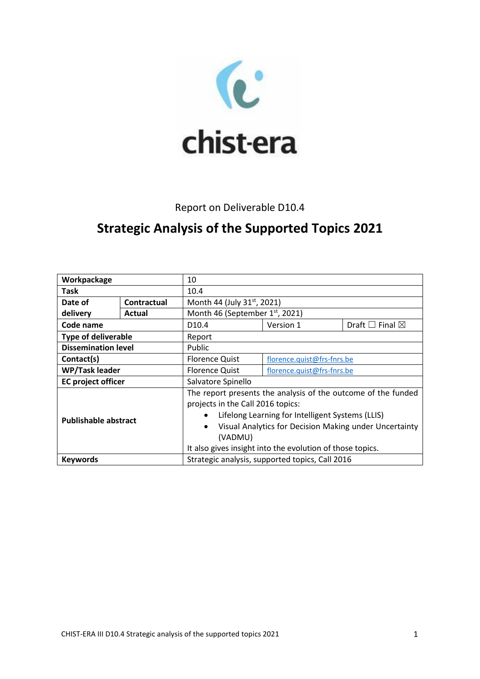

# Report on Deliverable D10.4

# **Strategic Analysis of the Supported Topics 2021**

| Workpackage                 |                    | 10                                                                  |                            |                                 |
|-----------------------------|--------------------|---------------------------------------------------------------------|----------------------------|---------------------------------|
| <b>Task</b>                 |                    | 10.4                                                                |                            |                                 |
| Date of                     | <b>Contractual</b> | Month 44 (July 31st, 2021)                                          |                            |                                 |
| delivery                    | Actual             | Month 46 (September 1st, 2021)                                      |                            |                                 |
| Code name                   |                    | D <sub>10.4</sub>                                                   | Version 1                  | Draft $\square$ Final $\square$ |
| <b>Type of deliverable</b>  |                    | Report                                                              |                            |                                 |
| <b>Dissemination level</b>  |                    | Public                                                              |                            |                                 |
| Contact(s)                  |                    | <b>Florence Quist</b>                                               | florence.quist@frs-fnrs.be |                                 |
| <b>WP/Task leader</b>       |                    | <b>Florence Quist</b>                                               | florence.quist@frs-fnrs.be |                                 |
| <b>EC</b> project officer   |                    | Salvatore Spinello                                                  |                            |                                 |
| <b>Publishable abstract</b> |                    | The report presents the analysis of the outcome of the funded       |                            |                                 |
|                             |                    | projects in the Call 2016 topics:                                   |                            |                                 |
|                             |                    | Lifelong Learning for Intelligent Systems (LLIS)<br>$\bullet$       |                            |                                 |
|                             |                    | Visual Analytics for Decision Making under Uncertainty<br>$\bullet$ |                            |                                 |
|                             |                    | (VADMU)                                                             |                            |                                 |
|                             |                    | It also gives insight into the evolution of those topics.           |                            |                                 |
| <b>Keywords</b>             |                    | Strategic analysis, supported topics, Call 2016                     |                            |                                 |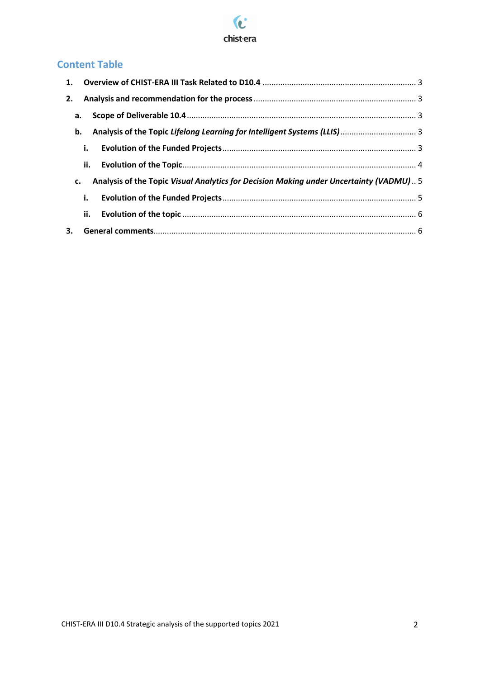

# **Content Table**

|    | а. |                                                                                        |  |
|----|----|----------------------------------------------------------------------------------------|--|
|    | b. | Analysis of the Topic Lifelong Learning for Intelligent Systems (LLIS)  3              |  |
|    | i. |                                                                                        |  |
|    |    |                                                                                        |  |
| c. |    | Analysis of the Topic Visual Analytics for Decision Making under Uncertainty (VADMU) 5 |  |
|    | i. |                                                                                        |  |
|    |    |                                                                                        |  |
|    |    |                                                                                        |  |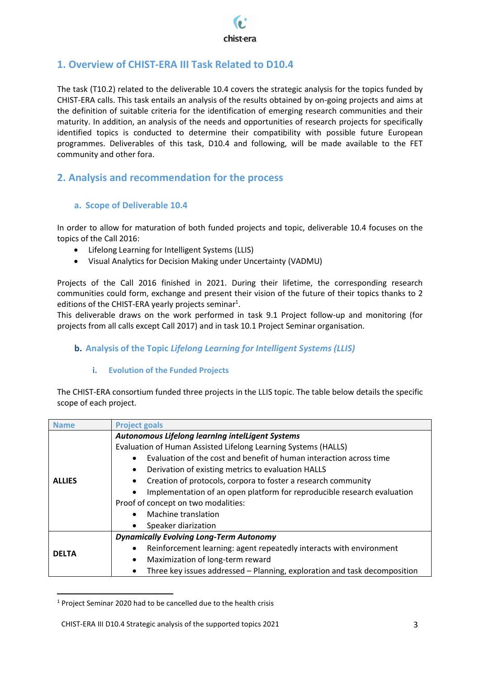

# <span id="page-2-0"></span>**1. Overview of CHIST-ERA III Task Related to D10.4**

The task (T10.2) related to the deliverable 10.4 covers the strategic analysis for the topics funded by CHIST-ERA calls. This task entails an analysis of the results obtained by on-going projects and aims at the definition of suitable criteria for the identification of emerging research communities and their maturity. In addition, an analysis of the needs and opportunities of research projects for specifically identified topics is conducted to determine their compatibility with possible future European programmes. Deliverables of this task, D10.4 and following, will be made available to the FET community and other fora.

## <span id="page-2-1"></span>**2. Analysis and recommendation for the process**

#### <span id="page-2-2"></span>**a. Scope of Deliverable 10.4**

In order to allow for maturation of both funded projects and topic, deliverable 10.4 focuses on the topics of the Call 2016:

- Lifelong Learning for Intelligent Systems (LLIS)
- Visual Analytics for Decision Making under Uncertainty (VADMU)

Projects of the Call 2016 finished in 2021. During their lifetime, the corresponding research communities could form, exchange and present their vision of the future of their topics thanks to 2 editions of the CHIST-ERA yearly projects seminar<sup>1</sup>.

This deliverable draws on the work performed in task 9.1 Project follow-up and monitoring (for projects from all calls except Call 2017) and in task 10.1 Project Seminar organisation.

#### <span id="page-2-3"></span>**b. Analysis of the Topic** *Lifelong Learning for Intelligent Systems (LLIS)*

#### **i. Evolution of the Funded Projects**

<span id="page-2-4"></span>The CHIST-ERA consortium funded three projects in the LLIS topic. The table below details the specific scope of each project.

| <b>Name</b>   | <b>Project goals</b>                                                             |  |  |
|---------------|----------------------------------------------------------------------------------|--|--|
|               | Autonomous Lifelong learning intelLigent Systems                                 |  |  |
|               | Evaluation of Human Assisted Lifelong Learning Systems (HALLS)                   |  |  |
|               | Evaluation of the cost and benefit of human interaction across time<br>$\bullet$ |  |  |
|               | Derivation of existing metrics to evaluation HALLS                               |  |  |
| <b>ALLIES</b> | Creation of protocols, corpora to foster a research community                    |  |  |
|               | Implementation of an open platform for reproducible research evaluation          |  |  |
|               | Proof of concept on two modalities:                                              |  |  |
|               | Machine translation                                                              |  |  |
|               | Speaker diarization                                                              |  |  |
|               | <b>Dynamically Evolving Long-Term Autonomy</b>                                   |  |  |
|               | Reinforcement learning: agent repeatedly interacts with environment              |  |  |
| <b>DELTA</b>  | Maximization of long-term reward<br>$\bullet$                                    |  |  |
|               | Three key issues addressed - Planning, exploration and task decomposition        |  |  |

<sup>&</sup>lt;sup>1</sup> Project Seminar 2020 had to be cancelled due to the health crisis

l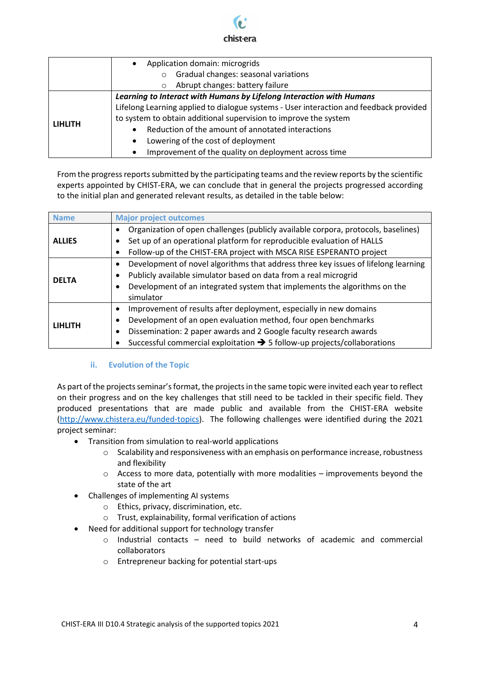# chist-era

|                | Application domain: microgrids<br>$\bullet$                                            |  |  |
|----------------|----------------------------------------------------------------------------------------|--|--|
|                | Gradual changes: seasonal variations<br>$\circ$                                        |  |  |
|                | Abrupt changes: battery failure<br>$\circ$                                             |  |  |
|                | Learning to Interact with Humans by Lifelong Interaction with Humans                   |  |  |
|                | Lifelong Learning applied to dialogue systems - User interaction and feedback provided |  |  |
|                | to system to obtain additional supervision to improve the system                       |  |  |
| <b>LIHLITH</b> | Reduction of the amount of annotated interactions<br>$\bullet$                         |  |  |
|                | Lowering of the cost of deployment<br>$\bullet$                                        |  |  |
|                | Improvement of the quality on deployment across time<br>$\bullet$                      |  |  |

From the progress reports submitted by the participating teams and the review reports by the scientific experts appointed by CHIST-ERA, we can conclude that in general the projects progressed according to the initial plan and generated relevant results, as detailed in the table below:

| <b>Name</b>    | <b>Major project outcomes</b>                                                                   |
|----------------|-------------------------------------------------------------------------------------------------|
|                | Organization of open challenges (publicly available corpora, protocols, baselines)<br>٠         |
| <b>ALLIES</b>  | Set up of an operational platform for reproducible evaluation of HALLS                          |
|                | Follow-up of the CHIST-ERA project with MSCA RISE ESPERANTO project                             |
|                | Development of novel algorithms that address three key issues of lifelong learning<br>$\bullet$ |
| <b>DELTA</b>   | Publicly available simulator based on data from a real microgrid<br>٠                           |
|                | Development of an integrated system that implements the algorithms on the<br>٠                  |
|                | simulator                                                                                       |
|                | Improvement of results after deployment, especially in new domains<br>$\bullet$                 |
| <b>LIHLITH</b> | Development of an open evaluation method, four open benchmarks<br>٠                             |
|                | Dissemination: 2 paper awards and 2 Google faculty research awards<br>٠                         |
|                | Successful commercial exploitation $\rightarrow$ 5 follow-up projects/collaborations            |

#### **ii. Evolution of the Topic**

<span id="page-3-0"></span>As part of the projects seminar's format, the projects in the same topic were invited each year to reflect on their progress and on the key challenges that still need to be tackled in their specific field. They produced presentations that are made public and available from the CHIST-ERA website [\(http://www.chistera.eu/funded-topics\)](http://www.chistera.eu/funded-topics). The following challenges were identified during the 2021 project seminar:

- Transition from simulation to real-world applications
	- o Scalability and responsiveness with an emphasis on performance increase, robustness and flexibility
	- $\circ$  Access to more data, potentially with more modalities improvements beyond the state of the art
- Challenges of implementing AI systems
	- o Ethics, privacy, discrimination, etc.
	- o Trust, explainability, formal verification of actions
- Need for additional support for technology transfer
	- o Industrial contacts need to build networks of academic and commercial collaborators
	- o Entrepreneur backing for potential start-ups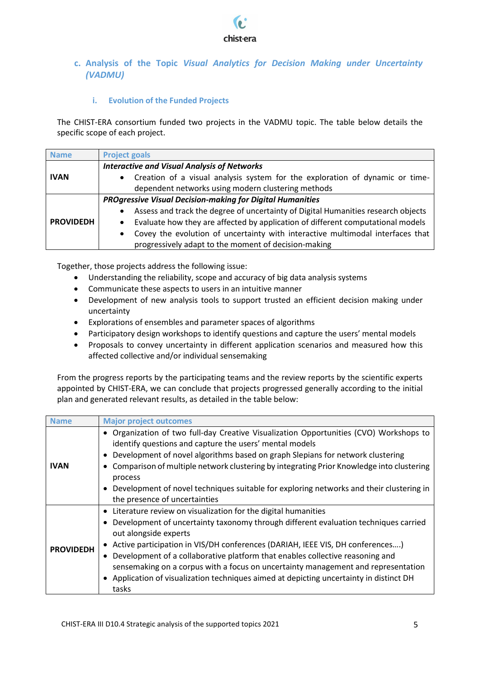

#### <span id="page-4-0"></span>**c. Analysis of the Topic** *Visual Analytics for Decision Making under Uncertainty (VADMU)*

#### **i. Evolution of the Funded Projects**

<span id="page-4-1"></span>The CHIST-ERA consortium funded two projects in the VADMU topic. The table below details the specific scope of each project.

| <b>Name</b>      | <b>Project goals</b>                                                                           |  |  |
|------------------|------------------------------------------------------------------------------------------------|--|--|
|                  | <b>Interactive and Visual Analysis of Networks</b>                                             |  |  |
| <b>IVAN</b>      | Creation of a visual analysis system for the exploration of dynamic or time-<br>$\bullet$      |  |  |
|                  | dependent networks using modern clustering methods                                             |  |  |
|                  | <b>PROgressive Visual Decision-making for Digital Humanities</b>                               |  |  |
|                  | Assess and track the degree of uncertainty of Digital Humanities research objects<br>$\bullet$ |  |  |
| <b>PROVIDEDH</b> | Evaluate how they are affected by application of different computational models                |  |  |
|                  | Covey the evolution of uncertainty with interactive multimodal interfaces that<br>$\bullet$    |  |  |
|                  | progressively adapt to the moment of decision-making                                           |  |  |

Together, those projects address the following issue:

- Understanding the reliability, scope and accuracy of big data analysis systems
- Communicate these aspects to users in an intuitive manner
- Development of new analysis tools to support trusted an efficient decision making under uncertainty
- Explorations of ensembles and parameter spaces of algorithms
- Participatory design workshops to identify questions and capture the users' mental models
- Proposals to convey uncertainty in different application scenarios and measured how this affected collective and/or individual sensemaking

From the progress reports by the participating teams and the review reports by the scientific experts appointed by CHIST-ERA, we can conclude that projects progressed generally according to the initial plan and generated relevant results, as detailed in the table below:

| <b>Name</b>      | <b>Major project outcomes</b>                                                                                                                                                                                                                                                                                                                                                                                                                                                                                                                                |
|------------------|--------------------------------------------------------------------------------------------------------------------------------------------------------------------------------------------------------------------------------------------------------------------------------------------------------------------------------------------------------------------------------------------------------------------------------------------------------------------------------------------------------------------------------------------------------------|
| <b>IVAN</b>      | • Organization of two full-day Creative Visualization Opportunities (CVO) Workshops to<br>identify questions and capture the users' mental models<br>Development of novel algorithms based on graph Slepians for network clustering<br>$\bullet$<br>Comparison of multiple network clustering by integrating Prior Knowledge into clustering<br>٠<br>process<br>• Development of novel techniques suitable for exploring networks and their clustering in<br>the presence of uncertainties                                                                   |
| <b>PROVIDEDH</b> | • Literature review on visualization for the digital humanities<br>Development of uncertainty taxonomy through different evaluation techniques carried<br>$\bullet$<br>out alongside experts<br>• Active participation in VIS/DH conferences (DARIAH, IEEE VIS, DH conferences)<br>Development of a collaborative platform that enables collective reasoning and<br>٠<br>sensemaking on a corpus with a focus on uncertainty management and representation<br>Application of visualization techniques aimed at depicting uncertainty in distinct DH<br>tasks |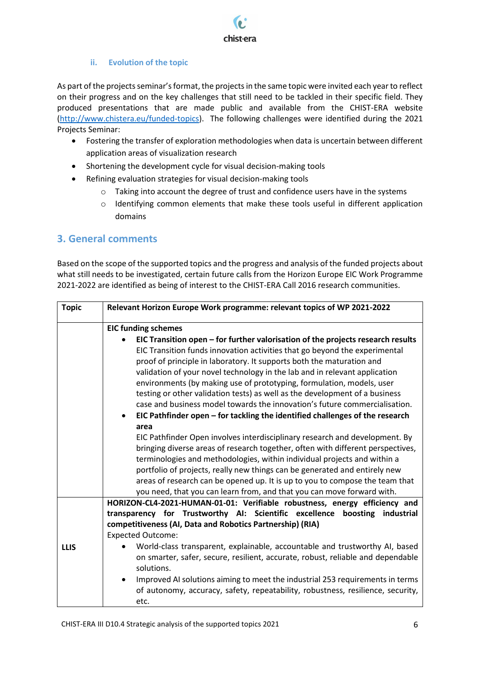

#### **ii. Evolution of the topic**

<span id="page-5-0"></span>As part of the projects seminar's format, the projects in the same topic were invited each year to reflect on their progress and on the key challenges that still need to be tackled in their specific field. They produced presentations that are made public and available from the CHIST-ERA website [\(http://www.chistera.eu/funded-topics\)](http://www.chistera.eu/funded-topics). The following challenges were identified during the 2021 Projects Seminar:

- Fostering the transfer of exploration methodologies when data is uncertain between different application areas of visualization research
- Shortening the development cycle for visual decision-making tools
- Refining evaluation strategies for visual decision-making tools
	- o Taking into account the degree of trust and confidence users have in the systems
	- o Identifying common elements that make these tools useful in different application domains

### <span id="page-5-1"></span>**3. General comments**

Based on the scope of the supported topics and the progress and analysis of the funded projects about what still needs to be investigated, certain future calls from the Horizon Europe EIC Work Programme 2021-2022 are identified as being of interest to the CHIST-ERA Call 2016 research communities.

| <b>Topic</b> | Relevant Horizon Europe Work programme: relevant topics of WP 2021-2022                                                                                                                                                                                                                                                                                                                                                                                                                                                                                                                                                                                                                                                                                                                                                                                                                                                                                                                                                                                        |
|--------------|----------------------------------------------------------------------------------------------------------------------------------------------------------------------------------------------------------------------------------------------------------------------------------------------------------------------------------------------------------------------------------------------------------------------------------------------------------------------------------------------------------------------------------------------------------------------------------------------------------------------------------------------------------------------------------------------------------------------------------------------------------------------------------------------------------------------------------------------------------------------------------------------------------------------------------------------------------------------------------------------------------------------------------------------------------------|
|              | <b>EIC funding schemes</b>                                                                                                                                                                                                                                                                                                                                                                                                                                                                                                                                                                                                                                                                                                                                                                                                                                                                                                                                                                                                                                     |
|              | EIC Transition open - for further valorisation of the projects research results<br>EIC Transition funds innovation activities that go beyond the experimental<br>proof of principle in laboratory. It supports both the maturation and<br>validation of your novel technology in the lab and in relevant application<br>environments (by making use of prototyping, formulation, models, user<br>testing or other validation tests) as well as the development of a business<br>case and business model towards the innovation's future commercialisation.<br>EIC Pathfinder open - for tackling the identified challenges of the research<br>area<br>EIC Pathfinder Open involves interdisciplinary research and development. By<br>bringing diverse areas of research together, often with different perspectives,<br>terminologies and methodologies, within individual projects and within a<br>portfolio of projects, really new things can be generated and entirely new<br>areas of research can be opened up. It is up to you to compose the team that |
|              | you need, that you can learn from, and that you can move forward with.                                                                                                                                                                                                                                                                                                                                                                                                                                                                                                                                                                                                                                                                                                                                                                                                                                                                                                                                                                                         |
| <b>LLIS</b>  | HORIZON-CL4-2021-HUMAN-01-01: Verifiable robustness, energy efficiency and<br>transparency for Trustworthy AI: Scientific excellence boosting<br>industrial<br>competitiveness (AI, Data and Robotics Partnership) (RIA)<br><b>Expected Outcome:</b><br>World-class transparent, explainable, accountable and trustworthy AI, based<br>on smarter, safer, secure, resilient, accurate, robust, reliable and dependable<br>solutions.<br>Improved AI solutions aiming to meet the industrial 253 requirements in terms<br>of autonomy, accuracy, safety, repeatability, robustness, resilience, security,<br>etc.                                                                                                                                                                                                                                                                                                                                                                                                                                               |